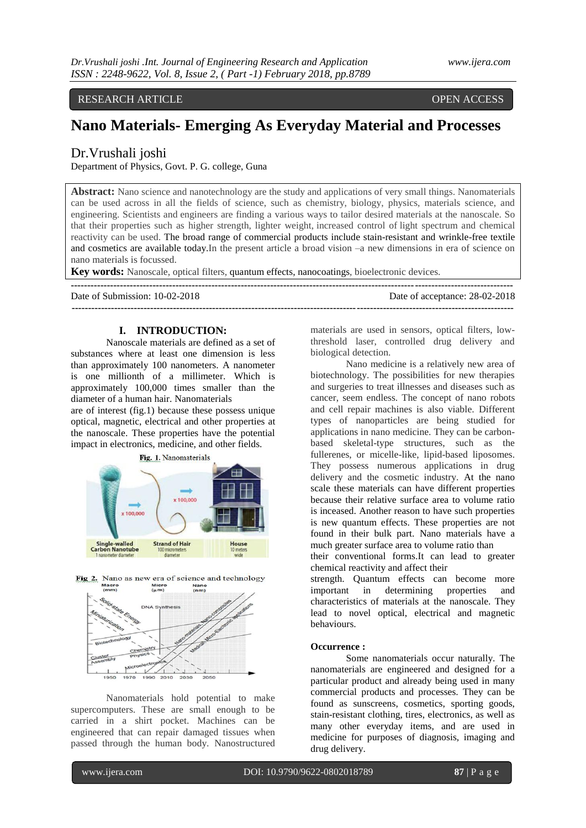# RESEARCH ARTICLE OPEN ACCESS

# **Nano Materials- Emerging As Everyday Material and Processes**

Dr.Vrushali joshi

Department of Physics, Govt. P. G. college, Guna

**Abstract:** Nano science and nanotechnology are the study and applications of very small things. Nanomaterials can be used across in all the fields of science, such as chemistry, biology, physics, materials science, and engineering. Scientists and engineers are finding a various ways to tailor desired materials at the nanoscale. So that their properties such as higher strength, lighter weight, increased control of light spectrum and chemical reactivity can be used. The broad range of commercial products include stain-resistant and wrinkle-free textile and cosmetics are available today.In the present article a broad vision –a new dimensions in era of science on nano materials is focussed.

**Key words:** Nanoscale, optical filters, quantum effects, nanocoatings, bioelectronic devices.

| Date of Submission: 10-02-2018 | Date of acceptance: 28-02-2018 |
|--------------------------------|--------------------------------|
|                                |                                |

## **I. INTRODUCTION:**

Nanoscale materials are defined as a set of substances where at least one dimension is less than approximately 100 nanometers. A nanometer is one millionth of a millimeter. Which is approximately 100,000 times smaller than the diameter of a human hair. Nanomaterials

are of interest (fig.1) because these possess unique optical, magnetic, electrical and other properties at the nanoscale. These properties have the potential impact in electronics, medicine, and other fields.



Fig 2. Nano as new era of science and technology



Nanomaterials hold potential to make supercomputers. These are small enough to be carried in a shirt pocket. Machines can be engineered that can repair damaged tissues when passed through the human body. Nanostructured materials are used in sensors, optical filters, lowthreshold laser, controlled drug delivery and biological detection.

Nano medicine is a relatively new area of biotechnology. The possibilities for new therapies and surgeries to treat illnesses and diseases such as cancer, seem endless. The concept of nano robots and cell repair machines is also viable. Different types of nanoparticles are being studied for applications in nano medicine. They can be carbonbased skeletal-type structures, such as the fullerenes, or micelle-like, lipid-based liposomes. They possess numerous applications in drug delivery and the cosmetic industry. At the nano scale these materials can have different properties because their relative surface area to volume ratio is inceased. Another reason to have such properties is new quantum effects. These properties are not found in their bulk part. Nano materials have a much greater surface area to volume ratio than their conventional forms.It can lead to greater

chemical reactivity and affect their

strength. Quantum effects can become more important in determining properties and characteristics of materials at the nanoscale. They lead to novel optical, electrical and magnetic behaviours.

#### **Occurrence :**

Some nanomaterials occur naturally. The nanomaterials are engineered and designed for a particular product and already being used in many commercial products and processes. They can be found as sunscreens, cosmetics, sporting goods, stain-resistant clothing, tires, electronics, as well as many other everyday items, and are used in medicine for purposes of diagnosis, imaging and drug delivery.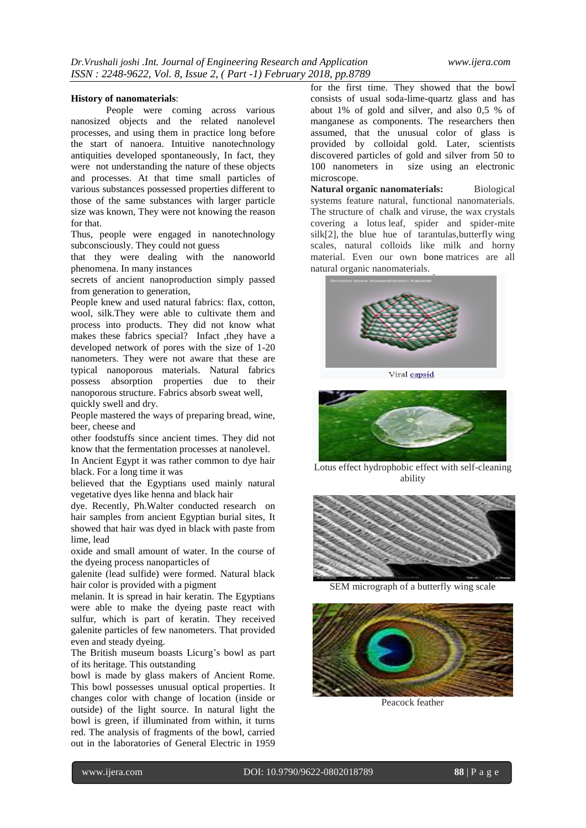#### **History of nanomaterials**:

People were coming across various nanosized objects and the related nanolevel processes, and using them in practice long before the start of nanoera. Intuitive nanotechnology antiquities developed spontaneously, In fact, they were not understanding the nature of these objects and processes. At that time small particles of various substances possessed properties different to those of the same substances with larger particle size was known, They were not knowing the reason for that.

Thus, people were engaged in nanotechnology subconsciously. They could not guess

that they were dealing with the nanoworld phenomena. In many instances

secrets of ancient nanoproduction simply passed from generation to generation,

People knew and used natural fabrics: flax, cotton, wool, silk.They were able to cultivate them and process into products. They did not know what makes these fabrics special? Infact ,they have a developed network of pores with the size of 1-20 nanometers. They were not aware that these are typical nanoporous materials. Natural fabrics possess absorption properties due to their nanoporous structure. Fabrics absorb sweat well, quickly swell and dry.

People mastered the ways of preparing bread, wine, beer, cheese and

other foodstuffs since ancient times. They did not know that the fermentation processes at nanolevel.

In Ancient Egypt it was rather common to dye hair black. For a long time it was

believed that the Egyptians used mainly natural vegetative dyes like henna and black hair

dye. Recently, Ph.Walter conducted research on hair samples from ancient Egyptian burial sites, It showed that hair was dyed in black with paste from lime, lead

oxide and small amount of water. In the course of the dyeing process nanoparticles of

galenite (lead sulfide) were formed. Natural black hair color is provided with a pigment

melanin. It is spread in hair keratin. The Egyptians were able to make the dyeing paste react with sulfur, which is part of keratin. They received galenite particles of few nanometers. That provided even and steady dyeing.

The British museum boasts Licurg's bowl as part of its heritage. This outstanding

bowl is made by glass makers of Ancient Rome. This bowl possesses unusual optical properties. It changes color with change of location (inside or outside) of the light source. In natural light the bowl is green, if illuminated from within, it turns red. The analysis of fragments of the bowl, carried out in the laboratories of General Electric in 1959

for the first time. They showed that the bowl consists of usual soda-lime-quartz glass and has about 1% of gold and silver, and also 0,5 % of manganese as components. The researchers then assumed, that the unusual color of glass is provided by colloidal gold. Later, scientists discovered particles of gold and silver from 50 to 100 nanometers in size using an electronic microscope.

**Natural organic nanomaterials:** Biological systems feature natural, functional nanomaterials. The structure of chalk and viruse, the wax crystals covering a lotus leaf, spider and spider-mite silk[2], the blue hue of tarantulas,butterfly wing scales, natural colloids like milk and horny material. Even our own bone matrices are all natural organic nanomaterials.



Viral capsid



Lotus effect hydrophobic effect with self-cleaning ability



SEM micrograph of a butterfly wing scale



Peacock feather